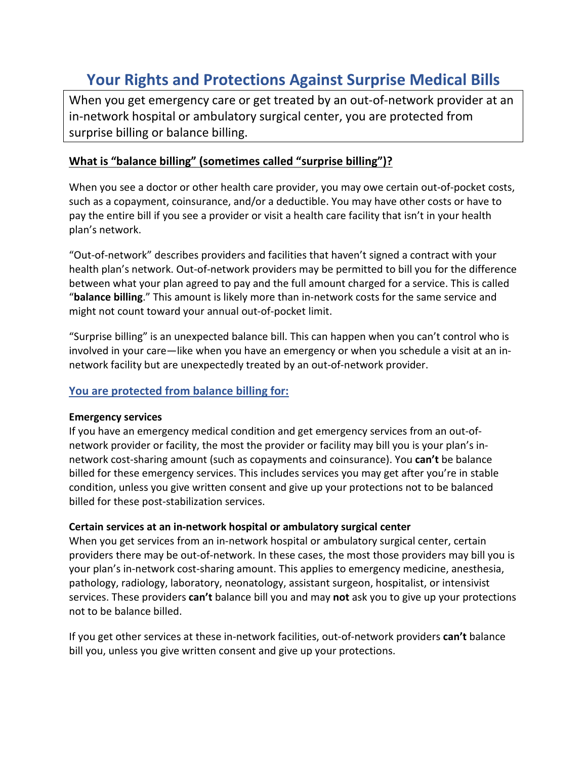# **Your Rights and Protections Against Surprise Medical Bills**

When you get emergency care or get treated by an out-of-network provider at an in-network hospital or ambulatory surgical center, you are protected from surprise billing or balance billing.

## **What is "balance billing" (sometimes called "surprise billing")?**

When you see a doctor or other health care provider, you may owe certain out-of-pocket costs, such as a copayment, coinsurance, and/or a deductible. You may have other costs or have to pay the entire bill if you see a provider or visit a health care facility that isn't in your health plan's network.

"Out-of-network" describes providers and facilities that haven't signed a contract with your health plan's network. Out-of-network providers may be permitted to bill you for the difference between what your plan agreed to pay and the full amount charged for a service. This is called "**balance billing**." This amount is likely more than in-network costs for the same service and might not count toward your annual out-of-pocket limit.

"Surprise billing" is an unexpected balance bill. This can happen when you can't control who is involved in your care—like when you have an emergency or when you schedule a visit at an innetwork facility but are unexpectedly treated by an out-of-network provider.

### **You are protected from balance billing for:**

#### **Emergency services**

If you have an emergency medical condition and get emergency services from an out-ofnetwork provider or facility, the most the provider or facility may bill you is your plan's innetwork cost-sharing amount (such as copayments and coinsurance). You **can't** be balance billed for these emergency services. This includes services you may get after you're in stable condition, unless you give written consent and give up your protections not to be balanced billed for these post-stabilization services.

#### **Certain services at an in-network hospital or ambulatory surgical center**

When you get services from an in-network hospital or ambulatory surgical center, certain providers there may be out-of-network. In these cases, the most those providers may bill you is your plan's in-network cost-sharing amount. This applies to emergency medicine, anesthesia, pathology, radiology, laboratory, neonatology, assistant surgeon, hospitalist, or intensivist services. These providers **can't** balance bill you and may **not** ask you to give up your protections not to be balance billed.

If you get other services at these in-network facilities, out-of-network providers **can't** balance bill you, unless you give written consent and give up your protections.